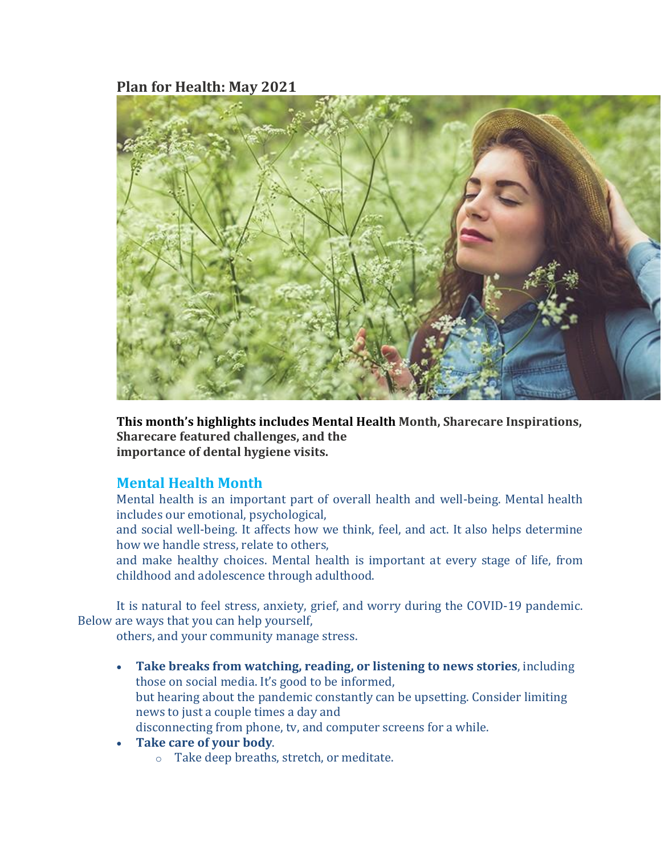## **Plan for Health: May 2021**



**This month's highlights includes Mental Health Month, Sharecare Inspirations, Sharecare featured challenges, and the importance of dental hygiene visits.**

## **Mental Health Month**

Mental health is an important part of overall health and well-being. Mental health includes our emotional, psychological,

and social well-being. It affects how we think, feel, and act. It also helps determine how we handle stress, relate to others,

and make healthy choices. Mental health is important at every stage of life, from childhood and adolescence through adulthood.

It is natural to feel stress, anxiety, grief, and worry during the COVID-19 pandemic. Below are ways that you can help yourself,

others, and your community manage stress.

- **Take breaks from watching, reading, or listening to news stories**, including those on social media. It's good to be informed, but hearing about the pandemic constantly can be upsetting. Consider limiting news to just a couple times a day and disconnecting from phone, tv, and computer screens for a while.
- **Take care of your body**.
	- o Take deep breaths, stretch, or meditate.